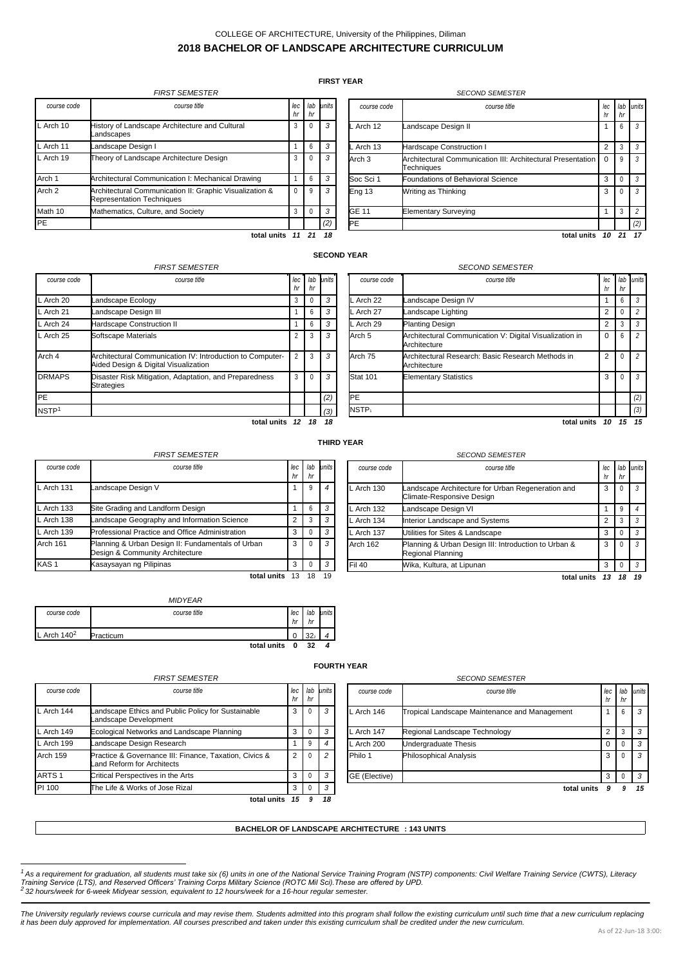# COLLEGE OF ARCHITECTURE, University of the Philippines, Diliman **2018 BACHELOR OF LANDSCAPE ARCHITECTURE CURRICULUM**

## **FIRST YEAR**

<span id="page-0-0"></span>

|                   | <b>FIRST SEMESTER</b>                                                                       |              |              |           |                   | <b>SECOND SEMESTER</b>                                      |
|-------------------|---------------------------------------------------------------------------------------------|--------------|--------------|-----------|-------------------|-------------------------------------------------------------|
| course code       | course title                                                                                | $ $ ec<br>hr | hr           | lab units | course code       | course title                                                |
| L Arch 10         | History of Landscape Architecture and Cultural<br>Landscapes                                | 3            | $\mathbf{0}$ | 3         | L Arch 12         | Landscape Design II                                         |
| L Arch 11         | Landscape Design I                                                                          |              | 6            | 3         | L Arch 13         | <b>Hardscape Construction I</b>                             |
| L Arch 19         | Theory of Landscape Architecture Design                                                     | 3            | $\Omega$     | 3         | Arch <sub>3</sub> | <b>Architectural Communication III: Archi</b><br>Techniaues |
| Arch 1            | Architectural Communication I: Mechanical Drawing                                           |              | 6            | 3         | Soc Sci 1         | Foundations of Behavioral Science                           |
| Arch <sub>2</sub> | Architectural Communication II: Graphic Visualization &<br><b>Representation Techniques</b> | $\Omega$     | 9            | 3         | <b>Eng 13</b>     | Writing as Thinking                                         |
| Math 10           | Mathematics, Culture, and Society                                                           | 3            | $\Omega$     | 3         | GE 11             | <b>Elementary Surveying</b>                                 |
| <b>PE</b>         |                                                                                             |              |              | (2)       | <b>IPE</b>        |                                                             |
|                   | total units                                                                                 |              | 21           | 18        |                   |                                                             |

| course code | course title                                                              | lec<br>hr | lab<br>hr | units |
|-------------|---------------------------------------------------------------------------|-----------|-----------|-------|
| L Arch 12   | andscape Design II                                                        |           | 6         | 3     |
| L Arch 13   | Hardscape Construction I                                                  | 2         | 3         | 3     |
| Arch 3      | Architectural Communication III: Architectural Presentation<br>Techniques | $\Omega$  | 9         | 3     |
| Soc Sci 1   | Foundations of Behavioral Science                                         | 3         | 0         | 3     |
| Eng 13      | Writing as Thinking                                                       | 3         | 0         | 3     |
| GE 11       | <b>Elementary Surveying</b>                                               |           | 3         | 2     |
| <b>PE</b>   |                                                                           |           |           | (2)   |
|             | total units                                                               | 10        | 21        | 17    |

### **SECOND YEAR**

|                   | <b>FIRST SEMESTER</b>                                                                             |           |           |       |
|-------------------|---------------------------------------------------------------------------------------------------|-----------|-----------|-------|
| course code       | course title                                                                                      | lec<br>hr | lab<br>hr | units |
| L Arch 20         | andscape Ecology.                                                                                 | 3         | Ω         | 3     |
| L Arch 21         | andscape Design III                                                                               |           | 6         | 3     |
| L Arch 24         | <b>Hardscape Construction II</b>                                                                  |           | 6         | 3     |
| $L$ Arch 25       | Softscape Materials                                                                               | 2         | 3         | 3     |
| Arch 4            | Architectural Communication IV: Introduction to Computer-<br>Aided Design & Digital Visualization | 2         | 3         | 3     |
| <b>DRMAPS</b>     | Disaster Risk Mitigation, Adaptation, and Preparedness<br><b>Strategies</b>                       | 3         | 0         | 3     |
| PE                |                                                                                                   |           |           | (2)   |
| NSTP <sup>1</sup> |                                                                                                   |           |           | (3)   |
|                   | total units                                                                                       | 12        | 18        | 18    |

|                   | <b>SECOND SEMESTER</b>                                                  |                 |           |           |
|-------------------|-------------------------------------------------------------------------|-----------------|-----------|-----------|
| course code       | course title                                                            | lec<br>hr       | lab<br>hr | units     |
| L Arch 22         | Landscape Design IV                                                     |                 | 6         | 3         |
| L Arch 27         | Landscape Lighting                                                      | 2               | $^{(1)}$  | 2         |
| L Arch 29         | Planting Design                                                         | 2               | 3         | 3         |
| Arch <sub>5</sub> | Architectural Communication V: Digital Visualization in<br>Architecture | $\Omega$        | 6         | 2         |
| Arch 75           | Architectural Research: Basic Research Methods in<br>Architecture       | $\overline{2}$  | 0         | 2         |
| <b>Stat 101</b>   | <b>Elementary Statistics</b>                                            | 3               | 0         | 3         |
| <b>PE</b>         |                                                                         |                 |           | (2)       |
| NSTP <sub>1</sub> |                                                                         |                 |           | (3)       |
|                   | $t$ atal unite                                                          | $\overline{10}$ | 4 E       | <b>45</b> |

**total units** *10 15 15*

*hr hr*

#### **THIRD YEAR**

|                  | <b>FIRST SEMESTER</b>                                                                |                |    |                |               | <b>SECOND SEMESTER</b>                                            |
|------------------|--------------------------------------------------------------------------------------|----------------|----|----------------|---------------|-------------------------------------------------------------------|
| course code      | course title                                                                         | lec<br>hr      | hr | lab units      | course code   | course title                                                      |
| L Arch 131       | Landscape Design V                                                                   |                | 9  | $\overline{4}$ | $L$ Arch 130  | Landscape Architecture for Urban Reo<br>Climate-Responsive Design |
| L Arch 133       | Site Grading and Landform Design                                                     |                | 6  | 3              | L Arch 132    | Landscape Design VI                                               |
| L Arch 138       | Landscape Geography and Information Science                                          | $\overline{2}$ |    | 3              | L Arch 134    | Interior Landscape and Systems                                    |
| L Arch 139       | Professional Practice and Office Administration                                      | 3              |    | 3              | L Arch 137    | Utilities for Sites & Landscape                                   |
| Arch 161         | Planning & Urban Design II: Fundamentals of Urban<br>Design & Community Architecture | 3              |    | $\cdot$ 3      | Arch 162      | Planning & Urban Design III: Introduct<br>Regional Planning       |
| KAS <sub>1</sub> | Kasaysayan ng Pilipinas                                                              | 3              |    | $\cdot$ 3      | <b>Fil 40</b> | Wika, Kultura, at Lipunan                                         |
|                  | total units                                                                          | 13             | 18 | 19             |               |                                                                   |

|               | <b>MIDYEAR</b>                  |           |                 |       |
|---------------|---------------------------------|-----------|-----------------|-------|
| course code   | course title                    | lec<br>hr | lab<br>hr       | units |
| L Arch $1402$ | Practicum                       | 0         | 32 <sub>i</sub> |       |
|               | $1 - 1 - 1 - 1 - 1 - 1 - 1 - 1$ | $\sim$    | $\sim$          |       |

| ㄴ ∪니니 ㄱㅜ    | Fiduuuil                                                                    | v         |           | $322 + 4$ |                    |
|-------------|-----------------------------------------------------------------------------|-----------|-----------|-----------|--------------------|
|             | total units                                                                 | 0         | 32        | 4         |                    |
|             |                                                                             |           |           |           | <b>FOURTH YEAR</b> |
|             | <b>FIRST SEMESTER</b>                                                       |           |           |           |                    |
| course code | course title                                                                | lec<br>hr | lab<br>hr | units     | COU                |
| L Arch 144  | Landscape Ethics and Public Policy for Sustainable<br>Landscape Development | 3         | 0         | 3         | ∟ Arcł             |
| L Arch 149  | Ecological Networks and Landscape Planning                                  | 3         |           |           | Arch               |

L Arch 199 Landscape Design Research 1 9 Arch 159 **Practice & Governance III: Finance, Taxation, Civics & 2 | 2** | 0

ARTS 1 Critical Perspectives in the Arts **3 3 3 3 3 3 3 3 3 3 3 3 3 3 3 3 4 3 3 4 3 3 4 3 3 4 3 4 3 4 3 4 3 4 3 4 3 4 3 4 3 4 3 4 3 4 3 4 3 4 3 4 3 4 3 4 3 4 3 4 3 4 3 4 3 4 3 4 3 4 3 4 3 4 3 4 3 4 3 4 3 4 3 4 3 4 3 4 3 4** PI 100 The Life & Works of Jose Rizal 3 0

Land Reform for Architects

| <b>FIRST SEMESTER</b>                            |           |    | <b>SECOND SEMESTER</b> |               |                                               |           |           |           |  |  |  |
|--------------------------------------------------|-----------|----|------------------------|---------------|-----------------------------------------------|-----------|-----------|-----------|--|--|--|
| course title                                     | lec<br>hr | hr | lab units              | course code   | course title                                  | lec<br>hr | lab<br>hr | units     |  |  |  |
| and Public Policy for Sustainable<br>oment.      | 3         |    | 3                      | L Arch 146    | Tropical Landscape Maintenance and Management |           | 6         | $\cdot$ 3 |  |  |  |
| s and Landscape Planning                         | 3         |    | 3                      | L Arch 147    | Regional Landscape Technology                 | 2         |           | 3         |  |  |  |
| Research                                         |           |    | 4                      | L Arch 200    | Undergraduate Thesis                          | 0         |           | 3         |  |  |  |
| nce III: Finance, Taxation, Civics &<br>chitects | 2         |    | $\overline{2}$         | Philo 1       | <b>Philosophical Analysis</b>                 | 3         |           | $\cdot$ 3 |  |  |  |
| s in the Arts                                    | 3         |    | 3                      | GE (Elective) |                                               | 3         |           | $\cdot$ 3 |  |  |  |
| f Jose Rizal                                     | 3         |    | 3                      |               | total units                                   |           | q         | - 15      |  |  |  |

# **BACHELOR OF LANDSCAPE ARCHITECTURE<sup>3</sup> : 143 UNITS**

**total units** *15 9 18*

### Arch 162 Planning & Urban Design III: Introduction to Urban & 3 0 3 egional Planning Fil 40 Wika, Kultura, at Lipunan 3 0 *3*

*course code course title lec lab units*

L Arch 130 Landscape Architecture for Urban Regeneration and 3 0 *3* Climate-Responsive Design L Arch 132 Landscape Design VI **1 4** 9

**total units** *13 18 19*

As of 22-Jun-18 3:00:

# L Arch 134 Interior Landscape and Systems 2 3 3 3 L Arch 137 Utilities for Sites & Landscape 3 0 3 0 3

<sup>&</sup>lt;sup>1</sup> As a requirement for graduation, all students must take six (6) units in one of the National Service Training Program (NSTP) components: Civil Welfare Training Service (CWTS), Literacy<br>Training Service (LTS), and Reser

The University regularly reviews course curricula and may revise them. Students admitted into this program shall follow the existing curriculum until such time that a new curriculum replacing<br>it has been duly approved for